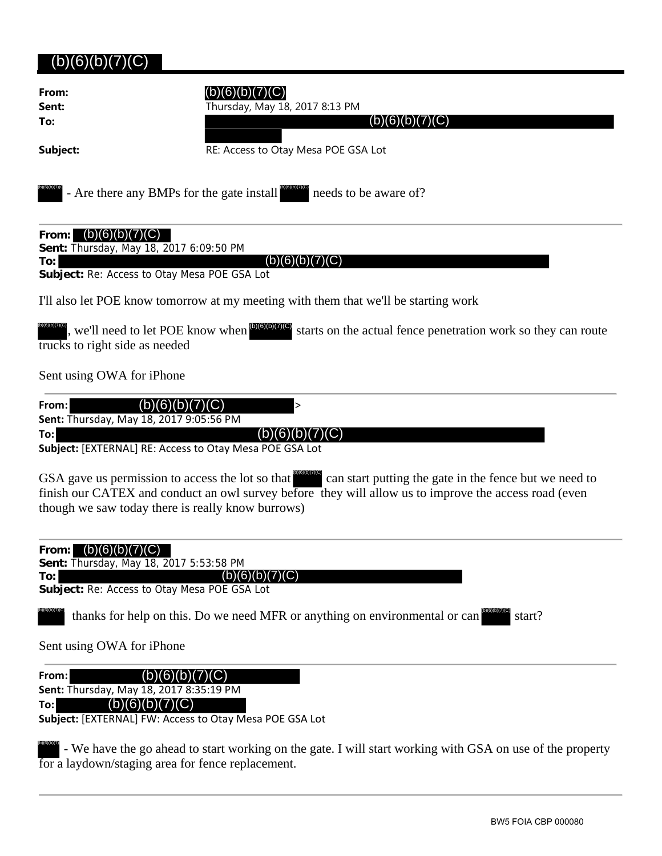## (b)(6)(b)(7)(C)

| From:<br>Sent:<br>To:                                                                                                                 | (b)(6)(b)<br>Thursday, May 18, 2017 8:13 PM<br>(b)(6)(b)(7)(C)                                                                                                  |
|---------------------------------------------------------------------------------------------------------------------------------------|-----------------------------------------------------------------------------------------------------------------------------------------------------------------|
| Subject:                                                                                                                              | RE: Access to Otay Mesa POE GSA Lot                                                                                                                             |
| - Are there any BMPs for the gate install                                                                                             | needs to be aware of?                                                                                                                                           |
| (b)(6)(b)(7)(C)<br>From:<br>Sent: Thursday, May 18, 2017 6:09:50 PM<br>To:                                                            | (b)(6)(b)(7)(C)                                                                                                                                                 |
| Subject: Re: Access to Otay Mesa POE GSA Lot                                                                                          |                                                                                                                                                                 |
|                                                                                                                                       | I'll also let POE know tomorrow at my meeting with them that we'll be starting work                                                                             |
| , we'll need to let POE know when $^{(b)(6)(b)(7)(C)}$<br>trucks to right side as needed                                              | starts on the actual fence penetration work so they can route                                                                                                   |
| Sent using OWA for iPhone                                                                                                             |                                                                                                                                                                 |
| From:<br>(b)(6)(b)<br>Sent: Thursday, May 18, 2017 9:05:56 PM<br>To:<br>Subject: [EXTERNAL] RE: Access to Otay Mesa POE GSA Lot       | $\mathcal{C}$ )<br>><br>(D)(6)<br>C)                                                                                                                            |
| GSA gave us permission to access the lot so that<br>though we saw today there is really know burrows)                                 | can start putting the gate in the fence but we need to<br>finish our CATEX and conduct an owl survey before they will allow us to improve the access road (even |
| (b)(6)(b)(7)(C)<br>From:<br>Sent: Thursday, May 18, 2017 5:53:58 PM<br>To:<br>Subject: Re: Access to Otay Mesa POE GSA Lot            | (b)(6)(b)( <sup>-</sup><br>$\chi(C)$                                                                                                                            |
|                                                                                                                                       | thanks for help on this. Do we need MFR or anything on environmental or can<br>start?                                                                           |
| Sent using OWA for iPhone                                                                                                             |                                                                                                                                                                 |
| From:<br>Sent: Thursday, May 18, 2017 8:35:19 PM<br>(b)(6)(b)(7)(C)<br>To:<br>Subject: [EXTERNAL] FW: Access to Otay Mesa POE GSA Lot | (b)(6)(b)(7)(C)                                                                                                                                                 |
| for a laydown/staging area for fence replacement.                                                                                     | - We have the go ahead to start working on the gate. I will start working with GSA on use of the property                                                       |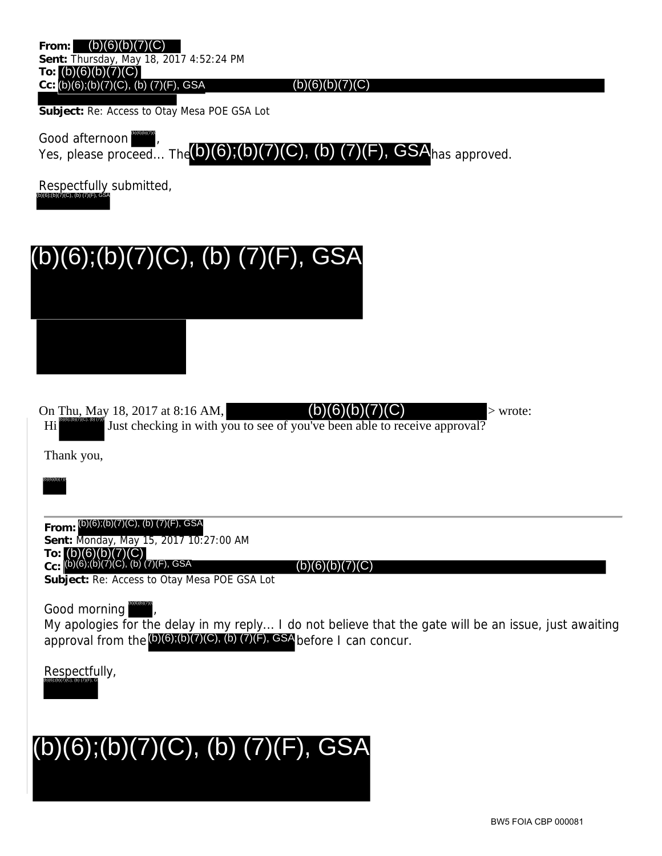**From:** (b)(6)(b)(7)(C) **Sent:** Thursday, May 18, 2017 4:52:24 PM **To:** (b)(6)(b)(7)(C) **Cc:** (b)(6);(b)(7)(C), (b) (7)(F), GSA

 $(b)(6)(b)(7)(C)$ 

**Subject:** Re: Access to Otay Mesa POE GSA Lot

Good afternoon Yes, please proceed... The  $(b)(6)$ ;  $(b)(7)(C)$ ,  $(b)(7)(F)$ , GSA has approved. (b)(6)(b)(7)(C)

Respectfully submitted, (b)(6);(b)(7)(C), (b) (7)(F), GSA



On Thu, May 18, 2017 at 8:16 AM,  $(D)(6)(D)(7)(C)$  > wrote:  $\mathbf{Hi}$   $\mathbf{Bi}$  and  $\mathbf{Fi}$  and  $\mathbf{Fi}$  are strong in with you to see of you've been able to receive approval? (b)(6)(b)(7)(C)

Thank you,

(b)(6)(b)(7)(

**From:** (b)(6);(b)(7)(C), (b) (7)(F), GSA **Sent:** Monday, May 15, 2017 10:27:00 AM

**To: Cc:**  $(b)(6)(b)(7)(C)$ (b)(6);(b)(7)(C), (b) (7)(F), GSA

 $(b)(6)(b)(7)(C)$ 

**Subject:** Re: Access to Otay Mesa POE GSA Lot

Good morning (b)(6)(b)(7)(C)

My apologies for the delay in my reply... I do not believe that the gate will be an issue, just awaiting approval from the (b)(6);(b)(7)(C), (b) (7)(F), GSA before I can concur.

Respectfully, (b)(6);(b)(7)(C), (b) (7)(F), GS

## l, (b)(6);(b)(7)(C), (b) (7)(F), GSA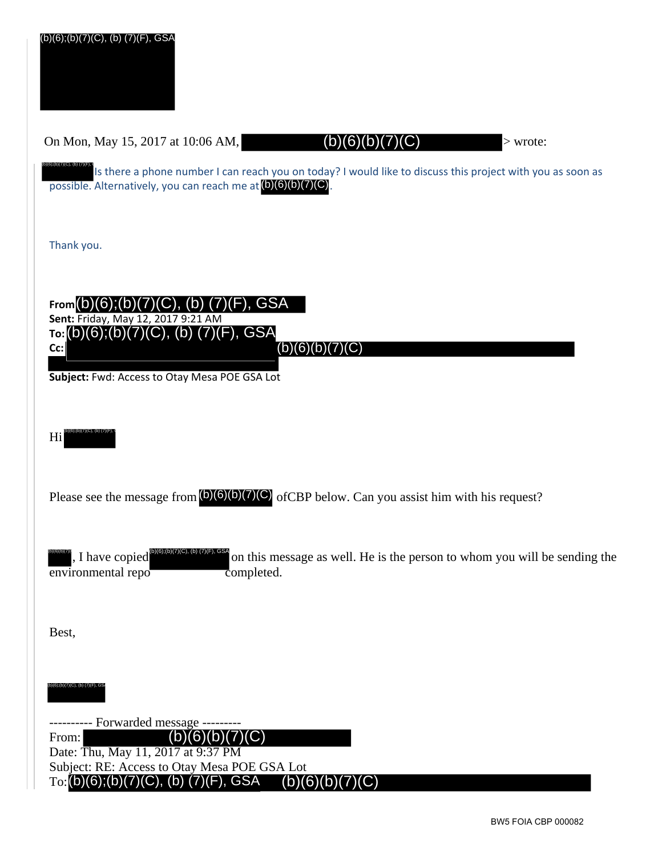| (b)(6);(b)(7)(C), (b) (7)(F), GSA                                                                                                                                                                                    |
|----------------------------------------------------------------------------------------------------------------------------------------------------------------------------------------------------------------------|
| (b)(6)(b)(7<br>On Mon, May 15, 2017 at 10:06 AM,<br>$>$ wrote:                                                                                                                                                       |
| )(6);(b)(7)(C), (b) (7)(F),<br>Is there a phone number I can reach you on today? I would like to discuss this project with you as soon as<br>possible. Alternatively, you can reach me at (b)(6)(b)(7)(C).           |
| Thank you.                                                                                                                                                                                                           |
| (C), (b) (7)(F), GSA<br>From(b)(6);(b)(7)<br>Sent: Friday, May 12, 2017 9:21 AM<br>то: (b)(6);(b)(7)(C), (b) (7)(F), GSA<br>(b)(6)(b)(7)(C)<br>Cc:<br>Subject: Fwd: Access to Otay Mesa POE GSA Lot                  |
| Hi                                                                                                                                                                                                                   |
| Please see the message from $(0)(6)(0)(7)(C)$ of CBP below. Can you assist him with his request?                                                                                                                     |
| , I have copied<br>on this message as well. He is the person to whom you will be sending the<br>environmental repo<br>completed.                                                                                     |
| Best,                                                                                                                                                                                                                |
| ))(6);(b)(7)(C), (b) (7)(F), GS,                                                                                                                                                                                     |
| ------- Forwarded message -------<br>(C)<br>(b)<br>(6)<br>From:<br>Date: Thu, May 11, 2017 at 9:37 PM<br>Subject: RE: Access to Otay Mesa POE GSA Lot<br>F), GSA<br>To: $(b)(6)$ ; $(b)(7)(C)$ , $(b)$<br>(b)(6)(b)( |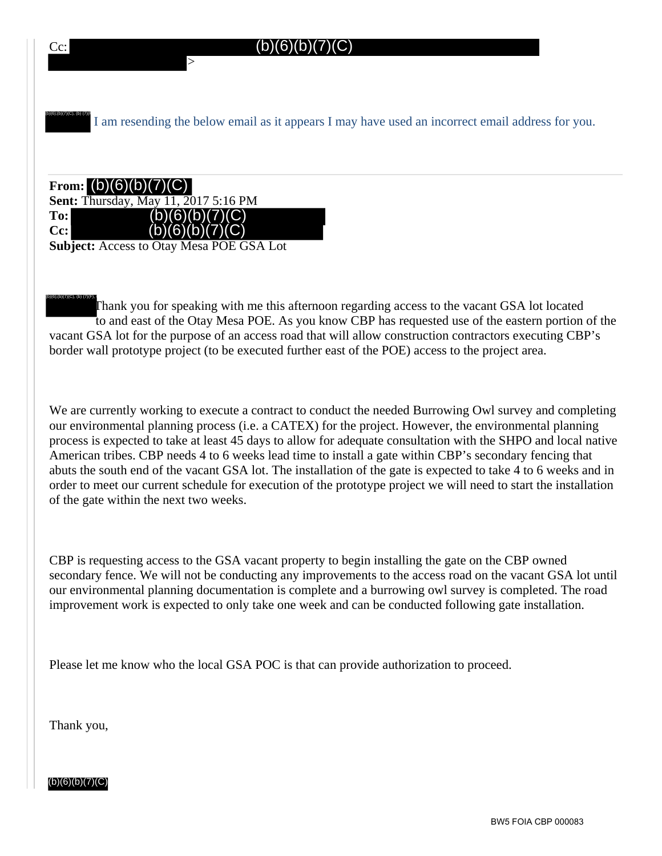

Thank you for speaking with me this afternoon regarding access to the vacant GSA lot located to and east of the Otay Mesa POE. As you know CBP has requested use of the eastern portion of the vacant GSA lot for the purpose of an access road that will allow construction contractors executing CBP's border wall prototype project (to be executed further east of the POE) access to the project area. (b)(6);(b)(7)(C), (b) (7)(F), (

We are currently working to execute a contract to conduct the needed Burrowing Owl survey and completing our environmental planning process (i.e. a CATEX) for the project. However, the environmental planning process is expected to take at least 45 days to allow for adequate consultation with the SHPO and local native American tribes. CBP needs 4 to 6 weeks lead time to install a gate within CBP's secondary fencing that abuts the south end of the vacant GSA lot. The installation of the gate is expected to take 4 to 6 weeks and in order to meet our current schedule for execution of the prototype project we will need to start the installation of the gate within the next two weeks.

CBP is requesting access to the GSA vacant property to begin installing the gate on the CBP owned secondary fence. We will not be conducting any improvements to the access road on the vacant GSA lot until our environmental planning documentation is complete and a burrowing owl survey is completed. The road improvement work is expected to only take one week and can be conducted following gate installation.

Please let me know who the local GSA POC is that can provide authorization to proceed.

Thank you,

(b)(6)(b)(7)(C)